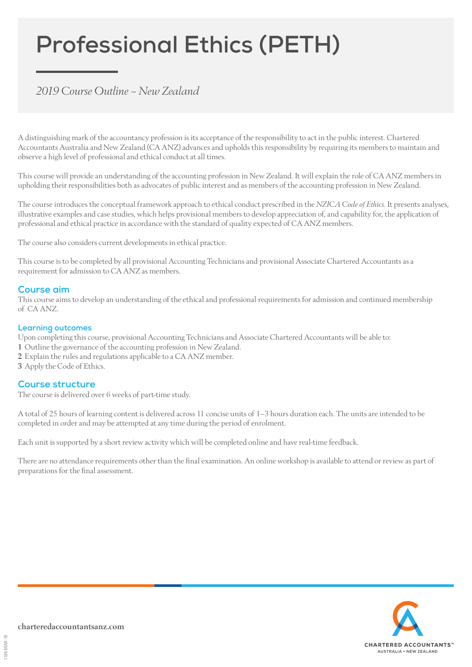# **Professional Ethics (PETH)**

## *2019 Course Outline – New Zealand*

A distinguishing mark of the accountancy profession is its acceptance of the responsibility to act in the public interest. Chartered Accountants Australia and New Zealand (CA ANZ) advances and upholds this responsibility by requiring its members to maintain and observe a high level of professional and ethical conduct at all times.

This course will provide an understanding of the accounting profession in New Zealand. It will explain the role of CA ANZ members in upholding their responsibilities both as advocates of public interest and as members of the accounting profession in New Zealand.

The course introduces the conceptual framework approach to ethical conduct prescribed in the *NZICA Code of Ethics.* It presents analyses, illustrative examples and case studies, which helps provisional members to develop appreciation of, and capability for, the application of professional and ethical practice in accordance with the standard of quality expected of CA ANZ members.

The course also considers current developments in ethical practice.

This course is to be completed by all provisional Accounting Technicians and provisional Associate Chartered Accountants as a requirement for admission to CA ANZ as members.

#### **Course aim**

This course aims to develop an understanding of the ethical and professional requirements for admission and continued membership of CA ANZ.

#### **Learning outcomes**

Upon completing this course, provisional Accounting Technicians and Associate Chartered Accountants will be able to:

- 1 Outline the governance of the accounting profession in New Zealand.
- 2 Explain the rules and regulations applicable to a CA ANZ member.
- 3 Apply the Code of Ethics.

#### **Course structure**

The course is delivered over 6 weeks of part-time study.

A total of 25 hours of learning content is delivered across 11 concise units of 1–3 hours duration each. The units are intended to be completed in order and may be attempted at any time during the period of enrolment.

Each unit is supported by a short review activity which will be completed online and have real-time feedback.

There are no attendance requirements other than the final examination. An online workshop is available to attend or review as part of preparations for the final assessment.

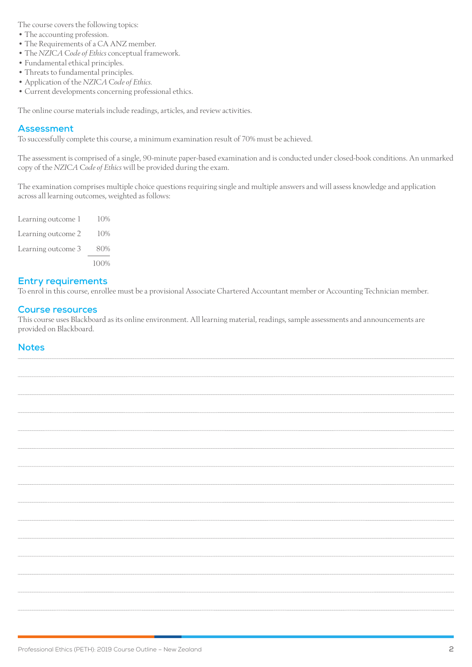The course covers the following topics:

- The accounting profession.
- The Requirements of a CA ANZ member.
- The *NZICA Code of Ethics* conceptual framework.
- Fundamental ethical principles.
- Threats to fundamental principles.
- Application of the *NZICA Code of Ethics.*
- Current developments concerning professional ethics.

The online course materials include readings, articles, and review activities.

#### **Assessment**

To successfully complete this course, a minimum examination result of 70% must be achieved.

The assessment is comprised of a single, 90-minute paper-based examination and is conducted under closed-book conditions. An unmarked copy of the *NZICA Code of Ethics* will be provided during the exam.

The examination comprises multiple choice questions requiring single and multiple answers and will assess knowledge and application across all learning outcomes, weighted as follows:

| Learning outcome 1 | 10%  |
|--------------------|------|
| Learning outcome 2 | 10%  |
| Learning outcome 3 | 80%  |
|                    | 100% |

#### **Entry requirements**

To enrol in this course, enrollee must be a provisional Associate Chartered Accountant member or Accounting Technician member.

#### **Course resources**

This course uses Blackboard as its online environment. All learning material, readings, sample assessments and announcements are provided on Blackboard.

#### **Notes**